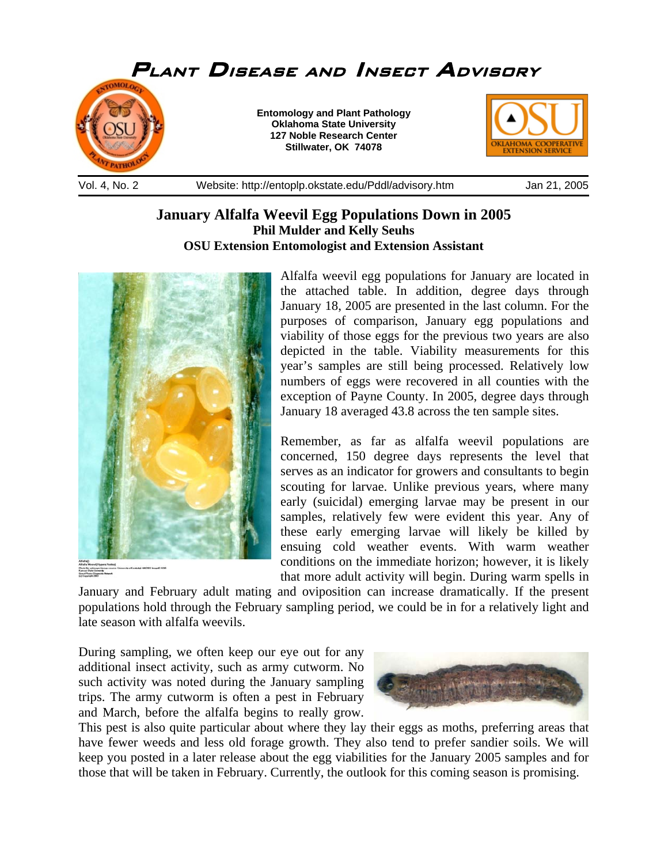

**January Alfalfa Weevil Egg Populations Down in 2005 Phil Mulder and Kelly Seuhs OSU Extension Entomologist and Extension Assistant** 

Alfalfa weevil egg populations for January are located in the attached table. In addition, degree days through January 18, 2005 are presented in the last column. For the purposes of comparison, January egg populations and viability of those eggs for the previous two years are also depicted in the table. Viability measurements for this year's samples are still being processed. Relatively low numbers of eggs were recovered in all counties with the exception of Payne County. In 2005, degree days through January 18 averaged 43.8 across the ten sample sites.

Remember, as far as alfalfa weevil populations are concerned, 150 degree days represents the level that serves as an indicator for growers and consultants to begin scouting for larvae. Unlike previous years, where many early (suicidal) emerging larvae may be present in our samples, relatively few were evident this year. Any of these early emerging larvae will likely be killed by ensuing cold weather events. With warm weather conditions on the immediate horizon; however, it is likely that more adult activity will begin. During warm spells in

January and February adult mating and oviposition can increase dramatically. If the present populations hold through the February sampling period, we could be in for a relatively light and late season with alfalfa weevils.

During sampling, we often keep our eye out for any additional insect activity, such as army cutworm. No such activity was noted during the January sampling trips. The army cutworm is often a pest in February and March, before the alfalfa begins to really grow.



This pest is also quite particular about where they lay their eggs as moths, preferring areas that have fewer weeds and less old forage growth. They also tend to prefer sandier soils. We will keep you posted in a later release about the egg viabilities for the January 2005 samples and for those that will be taken in February. Currently, the outlook for this coming season is promising.